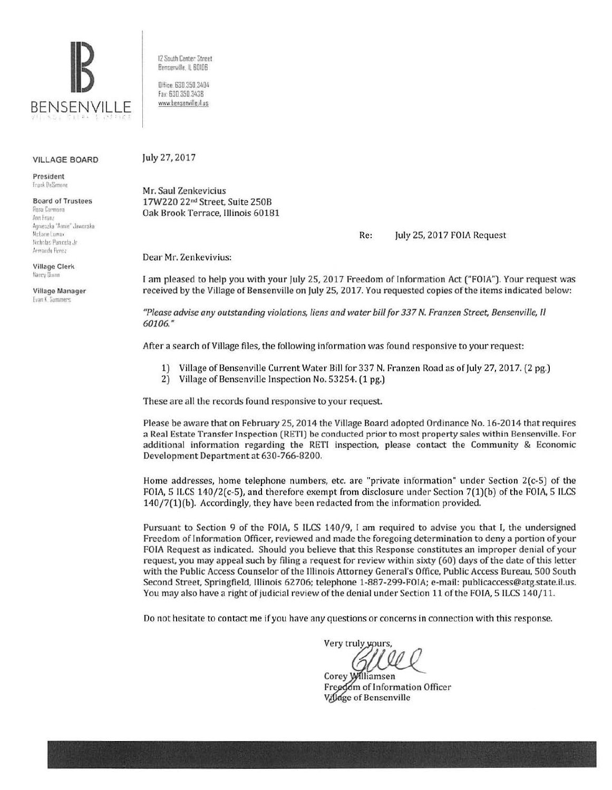

12 South Center Street Bensenville, IL 60106

Office: 630 350 3404 Fax: 630.350.3438 www.bensenville.ilus

#### **VILLAGE BOARD**

President **Frank DeSimone** 

**Board of Trustees** Rosa Carmona Ann Franz Agnieszka "Annie" Jaworska McLane Lomax Nicholas Panicola Jr Armando Perez

**Village Clerk** Nancy Dunn

Village Manager **Evan K. Summers** 

July 27, 2017

Mr. Saul Zenkevicius 17W220 22<sup>nd</sup> Street, Suite 250B Oak Brook Terrace, Illinois 60181

> Re: July 25, 2017 FOIA Request

Dear Mr. Zenkevivius:

I am pleased to help you with your July 25, 2017 Freedom of Information Act ("FOIA"). Your request was received by the Village of Bensenville on July 25, 2017. You requested copies of the items indicated below:

"Please advise any outstanding violations, liens and water bill for 337 N. Franzen Street, Bensenville, Il 60106."

After a search of Village files, the following information was found responsive to your request:

- 1) Village of Bensenville Current Water Bill for 337 N. Franzen Road as of July 27, 2017. (2 pg.)
- 2) Village of Bensenville Inspection No. 53254. (1 pg.)

These are all the records found responsive to your request.

Please be aware that on February 25, 2014 the Village Board adopted Ordinance No. 16-2014 that requires a Real Estate Transfer Inspection (RETI) be conducted prior to most property sales within Bensenville. For additional information regarding the RETI inspection, please contact the Community & Economic Development Department at 630-766-8200.

Home addresses, home telephone numbers, etc. are "private information" under Section  $2(c-5)$  of the FOIA, 5 ILCS 140/2(c-5), and therefore exempt from disclosure under Section 7(1)(b) of the FOIA, 5 ILCS  $140/7(1)$ (b). Accordingly, they have been redacted from the information provided.

Pursuant to Section 9 of the FOIA, 5 ILCS 140/9, I am required to advise you that I, the undersigned Freedom of Information Officer, reviewed and made the foregoing determination to deny a portion of your FOIA Request as indicated. Should you believe that this Response constitutes an improper denial of your request, you may appeal such by filing a request for review within sixty (60) days of the date of this letter with the Public Access Counselor of the Illinois Attorney General's Office, Public Access Bureau, 500 South Second Street, Springfield, Illinois 62706; telephone 1-887-299-FOIA; e-mail: publicaccess@atg.state.il.us. You may also have a right of judicial review of the denial under Section 11 of the FOIA, 5 ILCS 140/11.

Do not hesitate to contact me if you have any questions or concerns in connection with this response.

Very truly yours,

Corey Williamsen Freedom of Information Officer Village of Bensenville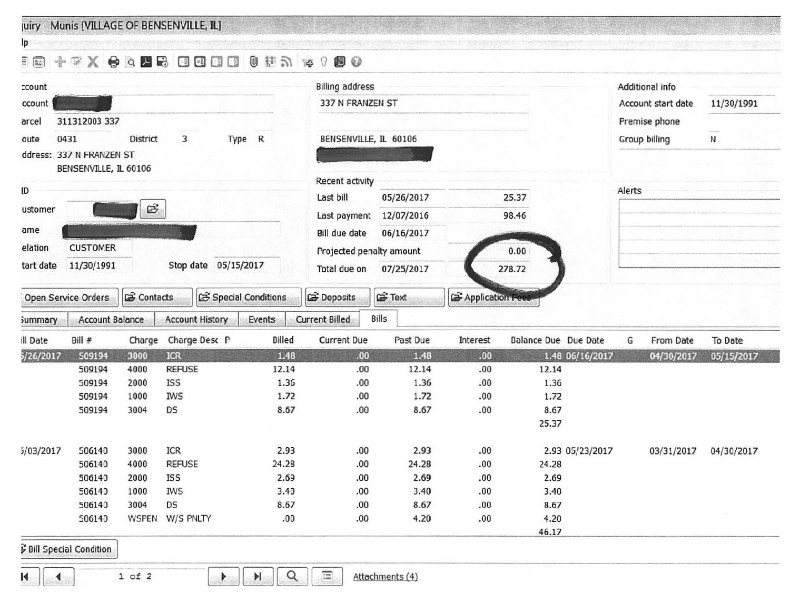uiry - Munis [VILLAGE OF BENSENVILLE, IL]

Ip a smooth component of

### 

| ccount<br>ccount                           |                                    |              |                        |                            |                                  |                       | <b>Billing address</b>      |                 |                             |                 |                    | Additional info |            |  |  |
|--------------------------------------------|------------------------------------|--------------|------------------------|----------------------------|----------------------------------|-----------------------|-----------------------------|-----------------|-----------------------------|-----------------|--------------------|-----------------|------------|--|--|
|                                            |                                    |              |                        |                            |                                  | 337 N FRANZEN ST      |                             |                 |                             |                 | Account start date | 11/30/1991      |            |  |  |
| arcel                                      | 311312003 337                      |              |                        |                            |                                  |                       |                             |                 |                             |                 |                    | Premise phone   |            |  |  |
| oute                                       |                                    | District     | 3                      |                            |                                  |                       |                             |                 |                             |                 |                    |                 | N          |  |  |
| Type R<br>0431<br>ddress: 337 N FRANZEN ST |                                    |              |                        |                            |                                  | BENSENVILLE, IL 60106 |                             |                 |                             |                 | Group billing      |                 |            |  |  |
|                                            | BENSENVILLE, IL 60106              |              |                        |                            |                                  |                       |                             |                 |                             |                 |                    |                 |            |  |  |
|                                            |                                    |              |                        |                            |                                  | Recent activity       |                             |                 |                             |                 |                    |                 |            |  |  |
| ID                                         |                                    |              |                        |                            |                                  | Last bill             | 05/26/2017                  |                 | 25.37                       |                 | Alerts             |                 |            |  |  |
| ustomer                                    | E                                  |              |                        | Last payment               | 12/07/2016                       | 98.46                 |                             |                 |                             |                 |                    |                 |            |  |  |
| ame                                        |                                    |              |                        |                            |                                  |                       |                             |                 |                             |                 |                    |                 |            |  |  |
|                                            |                                    |              |                        |                            |                                  |                       | Bill due date<br>06/16/2017 |                 |                             |                 |                    |                 |            |  |  |
| <b>CUSTOMER</b><br>elation                 |                                    |              |                        |                            | Projected penalty amount<br>0.00 |                       |                             |                 |                             |                 |                    |                 |            |  |  |
| tart date                                  | 11/30/1991<br>Stop date 05/15/2017 |              |                        | Total due on<br>07/25/2017 |                                  |                       | 278.72                      |                 |                             |                 |                    |                 |            |  |  |
|                                            | Open Service Orders                | contacts     |                        |                            | Special Conditions               | Deposits              | <b>G</b> Text               | Application Fee |                             |                 |                    |                 |            |  |  |
| <b>Summary</b>                             | <b>Account Balance</b>             |              | <b>Account History</b> |                            | Events                           | <b>Current Billed</b> | Bills                       |                 |                             |                 |                    |                 |            |  |  |
| ill Date                                   | $Bill \#$                          | Charge       |                        | Charge Desc P              |                                  | Billed<br>Current Due | Past Due                    | Interest        | <b>Balance Due Due Date</b> |                 | G                  | From Date       | To Date    |  |  |
| 5/26/2017                                  | 509194                             | 3000         | <b>ICR</b>             |                            |                                  | 1.48<br>.00.          | 1.48                        | .00.            |                             | 1.48 06/16/2017 |                    | 04/30/2017      | 05/15/2017 |  |  |
|                                            | 509194                             | 4000         | <b>REFUSE</b>          |                            |                                  | 12.14<br>.00          | 12.14                       | .00             | 12.14                       |                 |                    |                 |            |  |  |
|                                            | 509194                             | 2000         | <b>ISS</b>             |                            |                                  | 1.36<br>.00           | 1.36                        | .00.            | 1.36                        |                 |                    |                 |            |  |  |
|                                            | 509194                             | 1000         | <b>IWS</b>             |                            |                                  | 1.72<br>.00.          | 1.72                        | .00.            | 1.72                        |                 |                    |                 |            |  |  |
|                                            | 509194                             | 3004         | DS                     |                            |                                  | 8.67<br>.00.          | 8.67                        | .00             | 8.67                        |                 |                    |                 |            |  |  |
|                                            |                                    |              |                        |                            |                                  |                       |                             |                 | 25.37                       |                 |                    |                 |            |  |  |
| 5/03/2017                                  | 506140                             | 3000         | <b>ICR</b>             |                            |                                  | 2.93<br>.00.          | 2.93                        | .00.            |                             | 2.93 05/23/2017 |                    | 03/31/2017      | 04/30/2017 |  |  |
|                                            | 506140                             | 4000         | <b>REFUSE</b>          |                            |                                  | 24.28<br>.00          | 24.28                       | .00.            | 24.28                       |                 |                    |                 |            |  |  |
|                                            | 506140                             | 2000         | <b>ISS</b>             |                            |                                  | 2.69<br>.00.          | 2.69                        | .00.            | 2.69                        |                 |                    |                 |            |  |  |
|                                            | 506140                             | 1000         | <b>IWS</b>             |                            |                                  | 3.40<br>.00.          | 3.40                        | 00.             | 3.40                        |                 |                    |                 |            |  |  |
|                                            | 506140                             | 3004         | DS                     |                            |                                  | 8.67<br>00.           | 8.67                        | .00.            | 8.67                        |                 |                    |                 |            |  |  |
|                                            | 506140                             | <b>WSPEN</b> | W/S PNLTY              |                            |                                  | .00<br>.00.           | 4.20                        | .00.            | 4.20                        |                 |                    |                 |            |  |  |
|                                            |                                    |              |                        |                            |                                  |                       |                             |                 | 46.17                       |                 |                    |                 |            |  |  |
|                                            | Bill Special Condition             |              |                        |                            |                                  |                       |                             |                 |                             |                 |                    |                 |            |  |  |
|                                            |                                    |              |                        |                            |                                  |                       |                             |                 |                             |                 |                    |                 |            |  |  |
|                                            |                                    |              |                        |                            |                                  | 画<br>$\alpha$         |                             |                 |                             |                 |                    |                 |            |  |  |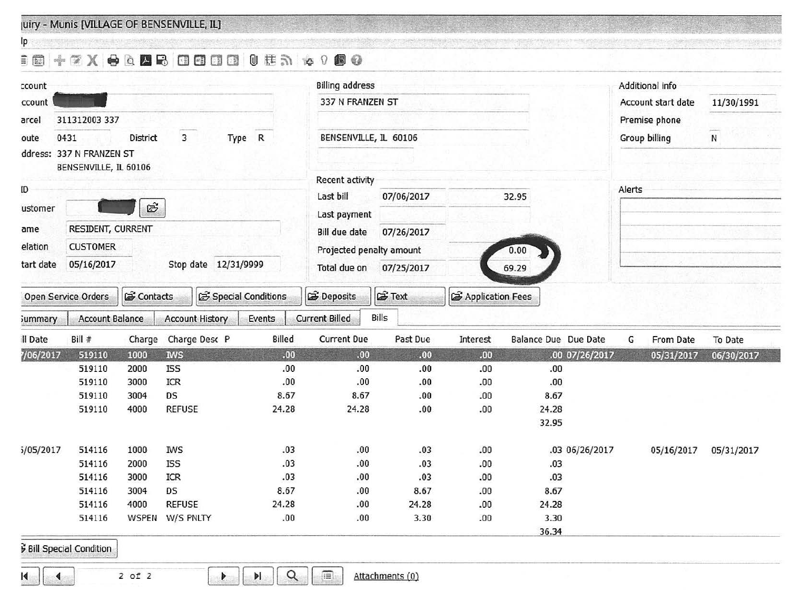uiry - Munis [VILLAGE OF BENSENVILLE, IL]

# ie\_ ... - ----- --- - ------ --- --- ,\_\_ -- - **@ + ~ X @ & Z B Q Q @ @ @ # ^ 0 @ @**

| ccount                                                            |                               |              |                        |                             | <b>Billing address</b>   |                 |                    |                      |                    | Additional info |            |  |
|-------------------------------------------------------------------|-------------------------------|--------------|------------------------|-----------------------------|--------------------------|-----------------|--------------------|----------------------|--------------------|-----------------|------------|--|
| ccount                                                            |                               |              |                        | 337 N FRANZEN ST            |                          |                 |                    |                      | Account start date | 11/30/1991      |            |  |
| 311312003 337<br>arcel<br>3<br>0431<br>Type R<br>District<br>oute |                               |              |                        |                             |                          |                 |                    |                      |                    | Premise phone   |            |  |
|                                                                   |                               |              |                        |                             | BENSENVILLE, IL 60106    |                 |                    |                      | Group billing      | N               |            |  |
|                                                                   | ddress: 337 N FRANZEN ST      |              |                        |                             |                          |                 |                    |                      |                    |                 |            |  |
|                                                                   | BENSENVILLE, IL 60106         |              |                        |                             |                          |                 |                    |                      |                    |                 |            |  |
|                                                                   |                               |              |                        |                             | Recent activity          |                 |                    |                      |                    |                 |            |  |
| ID                                                                |                               |              |                        |                             | Last bill<br>07/06/2017  |                 |                    | 32.95                | Alerts             |                 |            |  |
| ustomer                                                           | E                             |              |                        |                             | Last payment             |                 |                    |                      |                    |                 |            |  |
| ame                                                               | RESIDENT, CURRENT             |              |                        | Bill due date<br>07/26/2017 |                          |                 |                    |                      |                    |                 |            |  |
| elation                                                           | <b>CUSTOMER</b>               |              |                        |                             |                          |                 |                    |                      |                    |                 |            |  |
| tart date                                                         | 05/16/2017                    |              | Stop date 12/31/9999   |                             | Projected penalty amount | 0.00            |                    |                      |                    |                 |            |  |
|                                                                   |                               |              |                        |                             | Total due on             | 07/25/2017      |                    | 69.29                |                    |                 |            |  |
| contacts<br>Special Conditions<br>Open Service Orders             |                               |              |                        |                             | Deposits                 | Fext            | d Application Fees |                      |                    |                 |            |  |
| <b>Summary</b>                                                    | <b>Account Balance</b>        |              | <b>Account History</b> | Events                      | <b>Current Billed</b>    | Bills           |                    |                      |                    |                 |            |  |
| Il Date                                                           | Bill #                        | Charge       | Charge Desc P          | Billed                      | Current Due              | Past Due        | Interest           | Balance Due Due Date | G                  | From Date       | To Date    |  |
| 7/06/2017                                                         | 519110                        | 1000         | <b>IWS</b>             | .00.                        | .00.                     | .00.            | .00.               | .00 07/26/2017       |                    | 05/31/2017      | 06/30/2017 |  |
|                                                                   | 519110                        | 2000         | <b>ISS</b>             | .00                         | .00.                     | 00.             | .00                | .00.                 |                    |                 |            |  |
|                                                                   | 519110                        | 3000         | ICR                    | .00                         | .00                      | .00.            | .00                | .00                  |                    |                 |            |  |
|                                                                   | 519110                        | 3004         | DS                     | 8.67                        | 8.67                     | .00.            | .00                | 8.67                 |                    |                 |            |  |
|                                                                   | 519110                        | 4000         | <b>REFUSE</b>          | 24.28                       | 24.28                    | .00.            | .00                | 24.28                |                    |                 |            |  |
|                                                                   |                               |              |                        |                             |                          |                 |                    | 32.95                |                    |                 |            |  |
| 5/05/2017                                                         | 514116                        | 1000         | <b>IWS</b>             | .03                         | .00                      | .03             | .00                | .03 06/26/2017       |                    | 05/16/2017      | 05/31/2017 |  |
|                                                                   | 514116                        | 2000         | <b>ISS</b>             | .03                         | .00                      | .03             | .00                | .03                  |                    |                 |            |  |
|                                                                   | 514116                        | 3000         | ICR                    | .03                         | .00                      | .03             | .00                | .03                  |                    |                 |            |  |
|                                                                   | 514116                        | 3004         | DS                     | 8.67                        | .00                      | 8.67            | .00                | 8.67                 |                    |                 |            |  |
|                                                                   | 514116                        | 4000         | <b>REFUSE</b>          | 24.28                       | .00                      | 24.28           | .00                | 24.28                |                    |                 |            |  |
|                                                                   | 514116                        | <b>WSPEN</b> | W/S PNLTY              | .00                         | .00                      | 3.30            | .00                | 3.30                 |                    |                 |            |  |
|                                                                   |                               |              |                        |                             |                          |                 |                    | 36.34                |                    |                 |            |  |
|                                                                   | <b>Bill Special Condition</b> |              |                        |                             |                          |                 |                    |                      |                    |                 |            |  |
|                                                                   |                               |              |                        |                             |                          |                 |                    |                      |                    |                 |            |  |
|                                                                   |                               |              |                        | $\alpha$                    | 画                        | Attachments (0) |                    |                      |                    |                 |            |  |